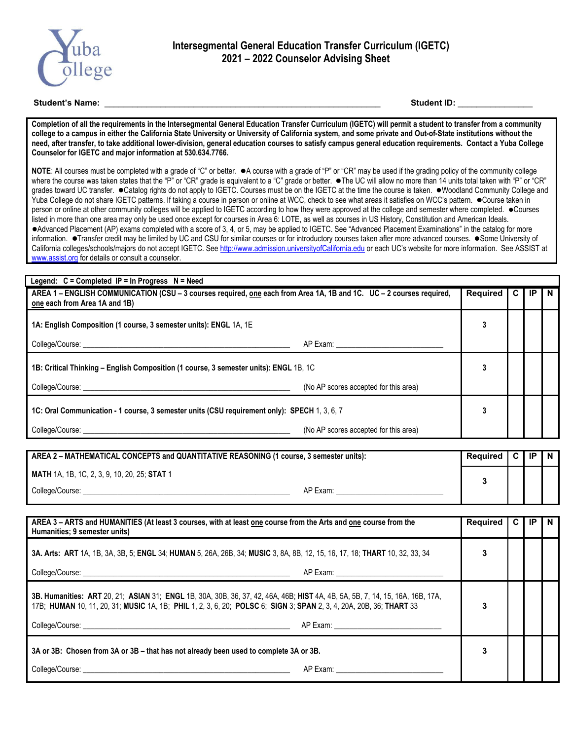

## **Student's Name:** \_\_\_\_\_\_\_\_\_\_\_\_\_\_\_\_\_\_\_\_\_\_\_\_\_\_\_\_\_\_\_\_\_\_\_\_\_\_\_\_\_\_\_\_\_\_\_\_\_\_\_\_\_\_\_\_\_\_\_ **Student ID:** \_\_\_\_\_\_\_\_\_\_\_\_\_\_\_\_

**Completion of all the requirements in the Intersegmental General Education Transfer Curriculum (IGETC) will permit a student to transfer from a community college to a campus in either the California State University or University of California system, and some private and Out-of-State institutions without the need, after transfer, to take additional lower-division, general education courses to satisfy campus general education requirements. Contact a Yuba College Counselor for IGETC and major information at 530.634.7766.** 

NOTE: All courses must be completed with a grade of "C" or better. ● A course with a grade of "P" or "CR" may be used if the grading policy of the community college where the course was taken states that the "P" or "CR" grade is equivalent to a "C" grade or better.  $\bullet$  The UC will allow no more than 14 units total taken with "P" or "CR" grades toward UC transfer. . Catalog rights do not apply to IGETC. Courses must be on the IGETC at the time the course is taken. . Woodland Community College and Yuba College do not share IGETC patterns. If taking a course in person or online at WCC, check to see what areas it satisfies on WCC's pattern.  $\bullet$  Course taken in person or online at other community colleges will be applied to IGETC according to how they were approved at the college and semester where completed. ● Courses listed in more than one area may only be used once except for courses in Area 6: LOTE, as well as courses in US History, Constitution and American Ideals. Advanced Placement (AP) exams completed with a score of 3, 4, or 5, may be applied to IGETC. See "Advanced Placement Examinations" in the catalog for more information. Transfer credit may be limited by UC and CSU for similar courses or for introductory courses taken after more advanced courses. Some University of California colleges/schools/majors do not accept IGETC. See http://www.admission.universityofCalifornia.edu or each UC's website for more information. See ASSIST at www.assist.org for details or consult a counselor.

| Legend: $C =$ Completed IP = In Progress $N =$ Need                                                                                                                                                                            |                                       |                 |  |    |  |  |
|--------------------------------------------------------------------------------------------------------------------------------------------------------------------------------------------------------------------------------|---------------------------------------|-----------------|--|----|--|--|
| AREA 1 - ENGLISH COMMUNICATION (CSU - 3 courses required, one each from Area 1A, 1B and 1C. UC - 2 courses required,                                                                                                           |                                       | <b>Required</b> |  | ΙP |  |  |
| one each from Area 1A and 1B)                                                                                                                                                                                                  |                                       |                 |  |    |  |  |
| 1A: English Composition (1 course, 3 semester units): ENGL 1A, 1E                                                                                                                                                              |                                       | 3               |  |    |  |  |
| College/Course: the collection of the collection of the collection of the collection of the collection of the collection of the collection of the collection of the collection of the collection of the collection of the coll | AP Exam: __________________________   |                 |  |    |  |  |
| 1B: Critical Thinking – English Composition (1 course, 3 semester units): ENGL 1B, 1C                                                                                                                                          |                                       |                 |  |    |  |  |
| College/Course: the college of the college of the college of the college of the college of the college of the college of the college of the college of the college of the college of the college of the college of the college | (No AP scores accepted for this area) |                 |  |    |  |  |
| 1C: Oral Communication - 1 course, 3 semester units (CSU requirement only): SPECH 1, 3, 6, 7                                                                                                                                   |                                       |                 |  |    |  |  |
|                                                                                                                                                                                                                                | (No AP scores accepted for this area) |                 |  |    |  |  |

| AREA 2 – MATHEMATICAL CONCEPTS and QUANTITATIVE REASONING (1 course, 3 semester units): |          | Reauired | I C I IP |  |
|-----------------------------------------------------------------------------------------|----------|----------|----------|--|
| <b>MATH</b> 1A, 1B, 1C, 2, 3, 9, 10, 20, 25; <b>STAT</b> 1                              |          |          |          |  |
| College/Course:                                                                         | AP Exam: |          |          |  |

| AREA 3 – ARTS and HUMANITIES (At least 3 courses, with at least one course from the Arts and one course from the<br>Humanities; 9 semester units)                                                                                                    |   | C | IP | N |
|------------------------------------------------------------------------------------------------------------------------------------------------------------------------------------------------------------------------------------------------------|---|---|----|---|
| 3A. Arts: ART 1A, 1B, 3A, 3B, 5; ENGL 34; HUMAN 5, 26A, 26B, 34; MUSIC 3, 8A, 8B, 12, 15, 16, 17, 18; THART 10, 32, 33, 34                                                                                                                           | 3 |   |    |   |
|                                                                                                                                                                                                                                                      |   |   |    |   |
| 3B. Humanities: ART 20, 21; ASIAN 31; ENGL 1B, 30A, 30B, 36, 37, 42, 46A, 46B; HIST 4A, 4B, 5A, 5B, 7, 14, 15, 16A, 16B, 17A,<br>17B; HUMAN 10, 11, 20, 31; MUSIC 1A, 1B; PHIL 1, 2, 3, 6, 20; POLSC 6; SIGN 3; SPAN 2, 3, 4, 20A, 20B, 36; THART 33 |   |   |    |   |
| 3A or 3B: Chosen from 3A or 3B – that has not already been used to complete 3A or 3B.                                                                                                                                                                |   |   |    |   |